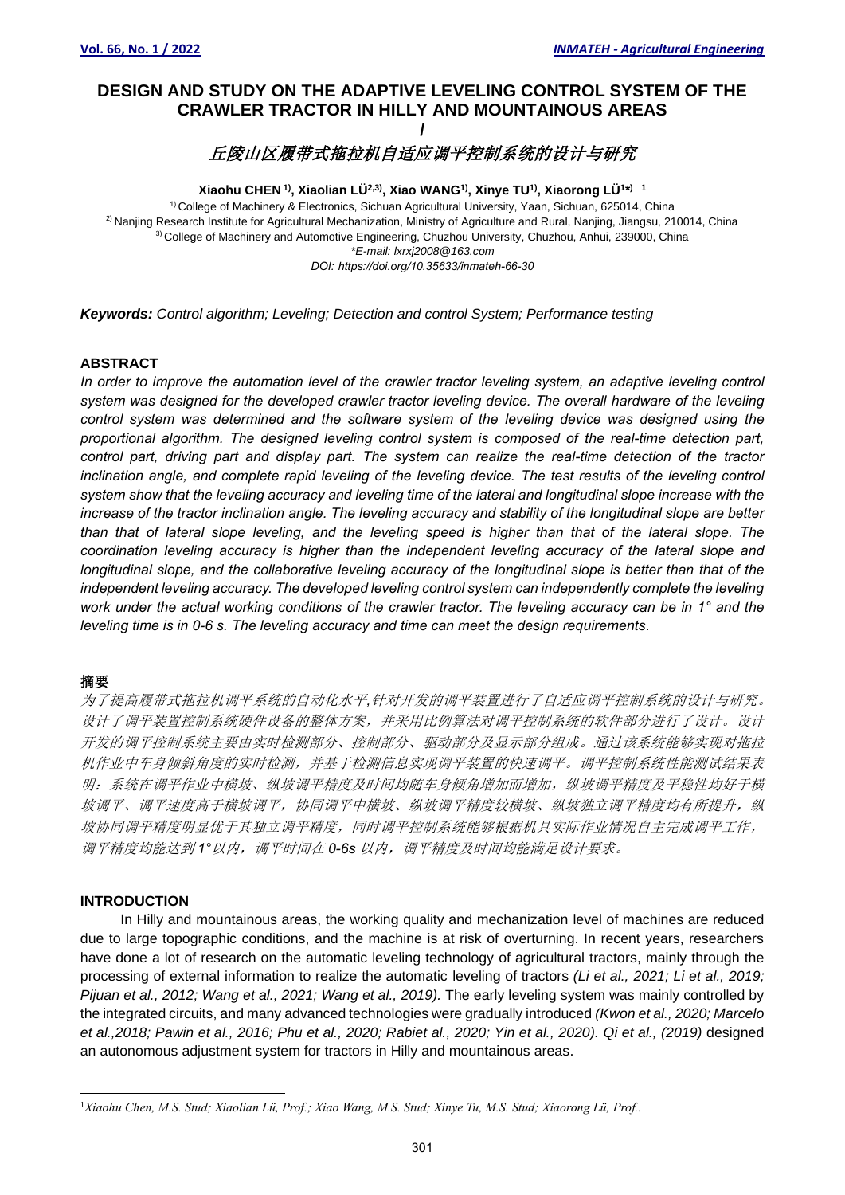# **DESIGN AND STUDY ON THE ADAPTIVE LEVELING CONTROL SYSTEM OF THE CRAWLER TRACTOR IN HILLY AND MOUNTAINOUS AREAS /**

# 丘陵山区履带式拖拉机自适应调平控制系统的设计与研究

**Xiaohu CHEN 1) , Xiaolian LÜ2,3) , Xiao WANG1) , Xinye TU1) , Xiaorong LÜ<sup>1</sup> \* ) 1** 1) College of Machinery & Electronics, Sichuan Agricultural University, Yaan, Sichuan, 625014, China 2) Nanjing Research Institute for Agricultural Mechanization, Ministry of Agriculture and Rural, Nanjing, Jiangsu, 210014, China 3) College of Machinery and Automotive Engineering, Chuzhou University, Chuzhou, Anhui, 239000, China *\*E-mail: lxrxj2008@163.com DOI: https://doi.org/10.35633/inmateh-66-30*

*Keywords: Control algorithm; Leveling; Detection and control System; Performance testing*

#### **ABSTRACT**

*In order to improve the automation level of the crawler tractor leveling system, an adaptive leveling control system was designed for the developed crawler tractor leveling device. The overall hardware of the leveling control system was determined and the software system of the leveling device was designed using the proportional algorithm. The designed leveling control system is composed of the real-time detection part, control part, driving part and display part. The system can realize the real-time detection of the tractor inclination angle, and complete rapid leveling of the leveling device. The test results of the leveling control system show that the leveling accuracy and leveling time of the lateral and longitudinal slope increase with the increase of the tractor inclination angle. The leveling accuracy and stability of the longitudinal slope are better than that of lateral slope leveling, and the leveling speed is higher than that of the lateral slope. The coordination leveling accuracy is higher than the independent leveling accuracy of the lateral slope and longitudinal slope, and the collaborative leveling accuracy of the longitudinal slope is better than that of the independent leveling accuracy. The developed leveling control system can independently complete the leveling work under the actual working conditions of the crawler tractor. The leveling accuracy can be in 1° and the leveling time is in 0-6 s. The leveling accuracy and time can meet the design requirements.* 

#### 摘要

为了提高履带式拖拉机调平系统的自动化水平*,*针对开发的调平装置进行了自适应调平控制系统的设计与研究。 设计了调平装置控制系统硬件设备的整体方案,并采用比例算法对调平控制系统的软件部分进行了设计。设计 开发的调平控制系统主要由实时检测部分、控制部分、驱动部分及显示部分组成。通过该系统能够实现对拖拉 机作业中车身倾斜角度的实时检测,并基于检测信息实现调平装置的快速调平。调平控制系统性能测试结果表 明:系统在调平作业中横坡、纵坡调平精度及时间均随车身倾角增加而增加,纵坡调平精度及平稳性均好于横 坡调平、调平速度高于横坡调平,协同调平中横坡、纵坡调平精度较横坡、纵坡独立调平精度均有所提升,纵 坡协同调平精度明显优于其独立调平精度,同时调平控制系统能够根据机具实际作业情况自主完成调平工作, 调平精度均能达到 *1°*以内,调平时间在 *0-6s* 以内,调平精度及时间均能满足设计要求。

### **INTRODUCTION**

In Hilly and mountainous areas, the working quality and mechanization level of machines are reduced due to large topographic conditions, and the machine is at risk of overturning. In recent years, researchers have done a lot of research on the automatic leveling technology of agricultural tractors, mainly through the processing of external information to realize the automatic leveling of tractors *(Li et al., 2021; Li et al., 2019; Pijuan et al., 2012; Wang et al., 2021; Wang et al., 2019).* The early leveling system was mainly controlled by the integrated circuits, and many advanced technologies were gradually introduced *(Kwon et al., 2020; Marcelo et al.,2018; Pawin et al., 2016; Phu et al., 2020; Rabiet al., 2020; Yin et al., 2020). Qi et al., (2019)* designed an autonomous adjustment system for tractors in Hilly and mountainous areas.

<sup>1</sup>*Xiaohu Chen, M.S. Stud; Xiaolian Lü, Prof.; Xiao Wang, M.S. Stud; Xinye Tu, M.S. Stud; Xiaorong Lü, Prof..*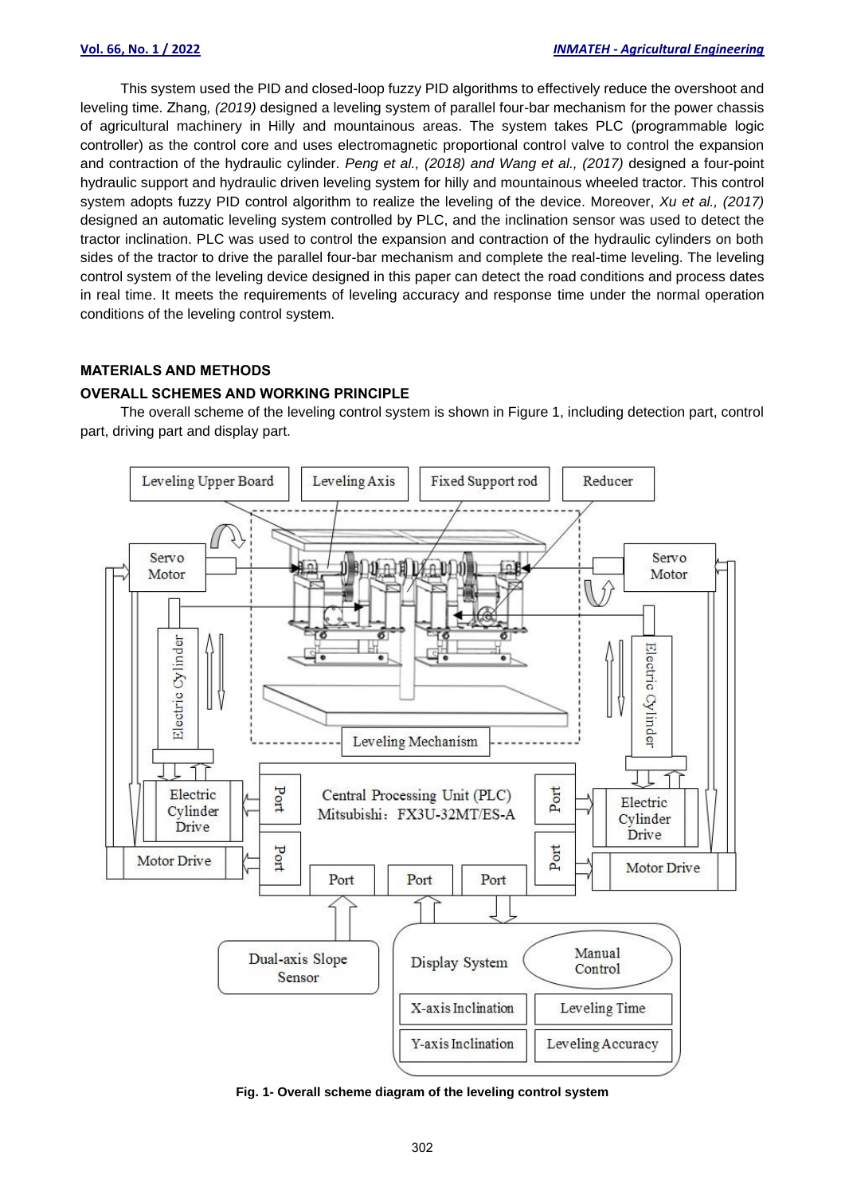This system used the PID and closed-loop fuzzy PID algorithms to effectively reduce the overshoot and leveling time. Zhang*, (2019)* designed a leveling system of parallel four-bar mechanism for the power chassis of agricultural machinery in Hilly and mountainous areas. The system takes PLC (programmable logic controller) as the control core and uses electromagnetic proportional control valve to control the expansion and contraction of the hydraulic cylinder. *Peng et al., (2018) and Wang et al., (2017)* designed a four-point hydraulic support and hydraulic driven leveling system for hilly and mountainous wheeled tractor. This control system adopts fuzzy PID control algorithm to realize the leveling of the device. Moreover, *Xu et al., (2017)* designed an automatic leveling system controlled by PLC, and the inclination sensor was used to detect the tractor inclination. PLC was used to control the expansion and contraction of the hydraulic cylinders on both sides of the tractor to drive the parallel four-bar mechanism and complete the real-time leveling. The leveling control system of the leveling device designed in this paper can detect the road conditions and process dates in real time. It meets the requirements of leveling accuracy and response time under the normal operation conditions of the leveling control system.

### **MATERIALS AND METHODS**

#### **OVERALL SCHEMES AND WORKING PRINCIPLE**

The overall scheme of the leveling control system is shown in Figure 1, including detection part, control part, driving part and display part.



**Fig. 1- Overall scheme diagram of the leveling control system**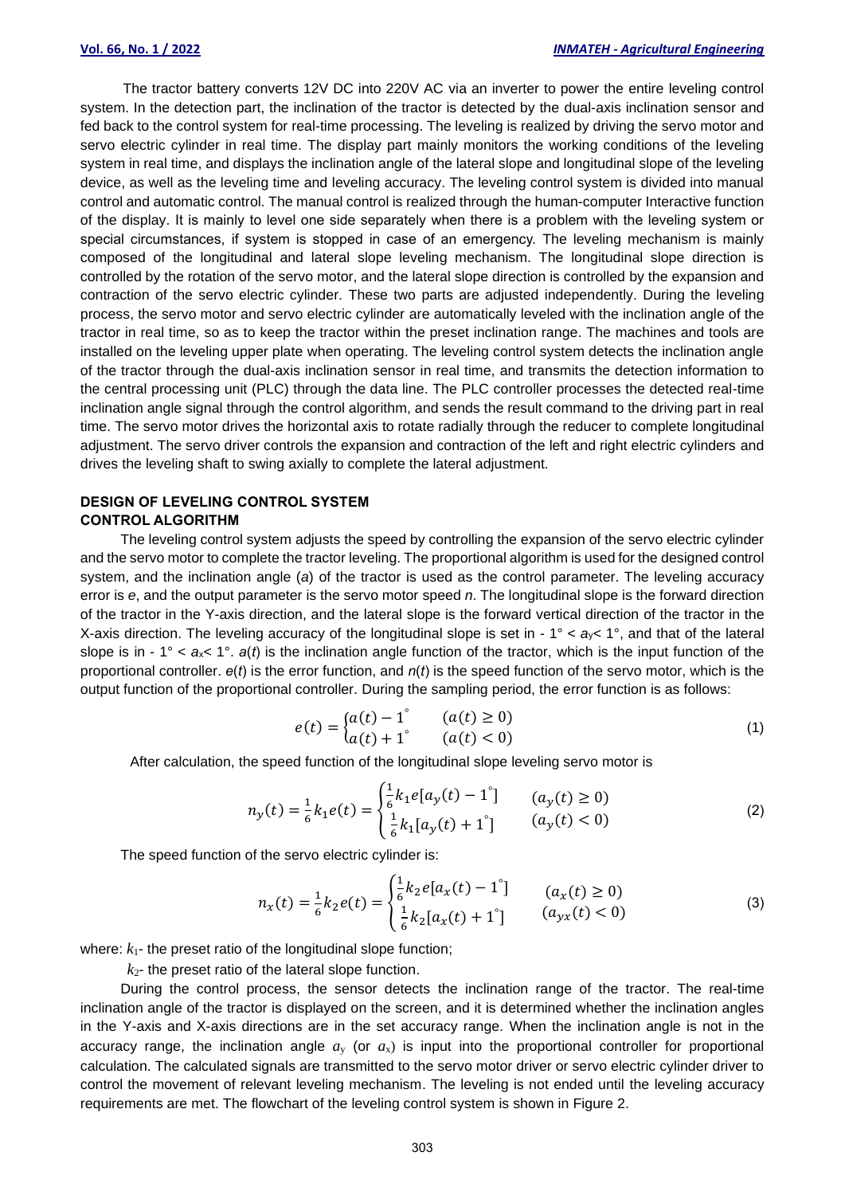The tractor battery converts 12V DC into 220V AC via an inverter to power the entire leveling control system. In the detection part, the inclination of the tractor is detected by the dual-axis inclination sensor and fed back to the control system for real-time processing. The leveling is realized by driving the servo motor and servo electric cylinder in real time. The display part mainly monitors the working conditions of the leveling system in real time, and displays the inclination angle of the lateral slope and longitudinal slope of the leveling device, as well as the leveling time and leveling accuracy. The leveling control system is divided into manual control and automatic control. The manual control is realized through the human-computer Interactive function of the display. It is mainly to level one side separately when there is a problem with the leveling system or special circumstances, if system is stopped in case of an emergency. The leveling mechanism is mainly composed of the longitudinal and lateral slope leveling mechanism. The longitudinal slope direction is controlled by the rotation of the servo motor, and the lateral slope direction is controlled by the expansion and contraction of the servo electric cylinder. These two parts are adjusted independently. During the leveling process, the servo motor and servo electric cylinder are automatically leveled with the inclination angle of the tractor in real time, so as to keep the tractor within the preset inclination range. The machines and tools are installed on the leveling upper plate when operating. The leveling control system detects the inclination angle of the tractor through the dual-axis inclination sensor in real time, and transmits the detection information to the central processing unit (PLC) through the data line. The PLC controller processes the detected real-time inclination angle signal through the control algorithm, and sends the result command to the driving part in real time. The servo motor drives the horizontal axis to rotate radially through the reducer to complete longitudinal adjustment. The servo driver controls the expansion and contraction of the left and right electric cylinders and drives the leveling shaft to swing axially to complete the lateral adjustment.

# **DESIGN OF LEVELING CONTROL SYSTEM**

#### **CONTROL ALGORITHM**

The leveling control system adjusts the speed by controlling the expansion of the servo electric cylinder and the servo motor to complete the tractor leveling. The proportional algorithm is used for the designed control system, and the inclination angle (*a*) of the tractor is used as the control parameter. The leveling accuracy error is *e*, and the output parameter is the servo motor speed *n*. The longitudinal slope is the forward direction of the tractor in the Y-axis direction, and the lateral slope is the forward vertical direction of the tractor in the X-axis direction. The leveling accuracy of the longitudinal slope is set in - 1° < *a*y< 1°, and that of the lateral slope is in - 1° <  $a_x$  < 1°.  $a(t)$  is the inclination angle function of the tractor, which is the input function of the proportional controller. *e*(*t*) is the error function, and *n*(*t*) is the speed function of the servo motor, which is the output function of the proportional controller. During the sampling period, the error function is as follows:

$$
e(t) = \begin{cases} a(t) - 1^{\circ} & (a(t) \ge 0) \\ a(t) + 1^{\circ} & (a(t) < 0) \end{cases}
$$
 (1)

After calculation, the speed function of the longitudinal slope leveling servo motor is  $\mathbf{r}$ 

$$
n_{y}(t) = \frac{1}{6}k_{1}e(t) = \begin{cases} \frac{1}{6}k_{1}e[a_{y}(t) - 1^{\circ}] & (a_{y}(t) \ge 0) \\ \frac{1}{6}k_{1}[a_{y}(t) + 1^{\circ}] & (a_{y}(t) < 0) \end{cases}
$$
(2)

The speed function of the servo electric cylinder is:

$$
n_x(t) = \frac{1}{6}k_2 e(t) = \begin{cases} \frac{1}{6}k_2 e[a_x(t) - 1^\circ] & (a_x(t) \ge 0) \\ \frac{1}{6}k_2 [a_x(t) + 1^\circ] & (a_{yx}(t) < 0) \end{cases}
$$
(3)

where:  $k_1$ - the preset ratio of the longitudinal slope function;

 $k_2$ - the preset ratio of the lateral slope function.

During the control process, the sensor detects the inclination range of the tractor. The real-time inclination angle of the tractor is displayed on the screen, and it is determined whether the inclination angles in the Y-axis and X-axis directions are in the set accuracy range. When the inclination angle is not in the accuracy range, the inclination angle  $a<sub>y</sub>$  (or  $a<sub>x</sub>$ ) is input into the proportional controller for proportional calculation. The calculated signals are transmitted to the servo motor driver or servo electric cylinder driver to control the movement of relevant leveling mechanism. The leveling is not ended until the leveling accuracy requirements are met. The flowchart of the leveling control system is shown in Figure 2.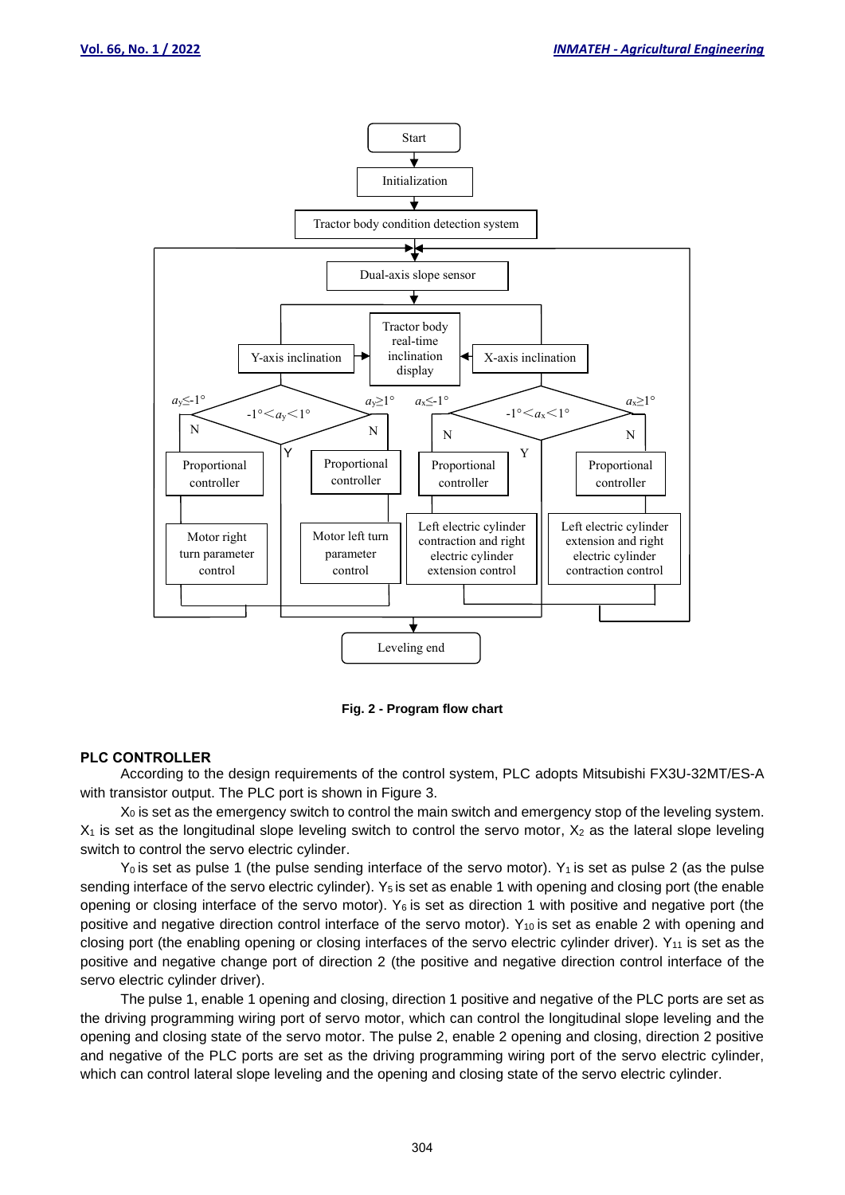

**Fig. 2 - Program flow chart**

#### **PLC CONTROLLER**

According to the design requirements of the control system, PLC adopts Mitsubishi FX3U-32MT/ES-A with transistor output. The PLC port is shown in Figure 3.

 $X<sub>0</sub>$  is set as the emergency switch to control the main switch and emergency stop of the leveling system.  $X_1$  is set as the longitudinal slope leveling switch to control the servo motor,  $X_2$  as the lateral slope leveling switch to control the servo electric cylinder.

 $Y_0$  is set as pulse 1 (the pulse sending interface of the servo motor). Y<sub>1</sub> is set as pulse 2 (as the pulse sending interface of the servo electric cylinder). Y<sub>5</sub> is set as enable 1 with opening and closing port (the enable opening or closing interface of the servo motor).  $Y_6$  is set as direction 1 with positive and negative port (the positive and negative direction control interface of the servo motor).  $Y_{10}$  is set as enable 2 with opening and closing port (the enabling opening or closing interfaces of the servo electric cylinder driver).  $Y_{11}$  is set as the positive and negative change port of direction 2 (the positive and negative direction control interface of the servo electric cylinder driver).

The pulse 1, enable 1 opening and closing, direction 1 positive and negative of the PLC ports are set as the driving programming wiring port of servo motor, which can control the longitudinal slope leveling and the opening and closing state of the servo motor. The pulse 2, enable 2 opening and closing, direction 2 positive and negative of the PLC ports are set as the driving programming wiring port of the servo electric cylinder, which can control lateral slope leveling and the opening and closing state of the servo electric cylinder.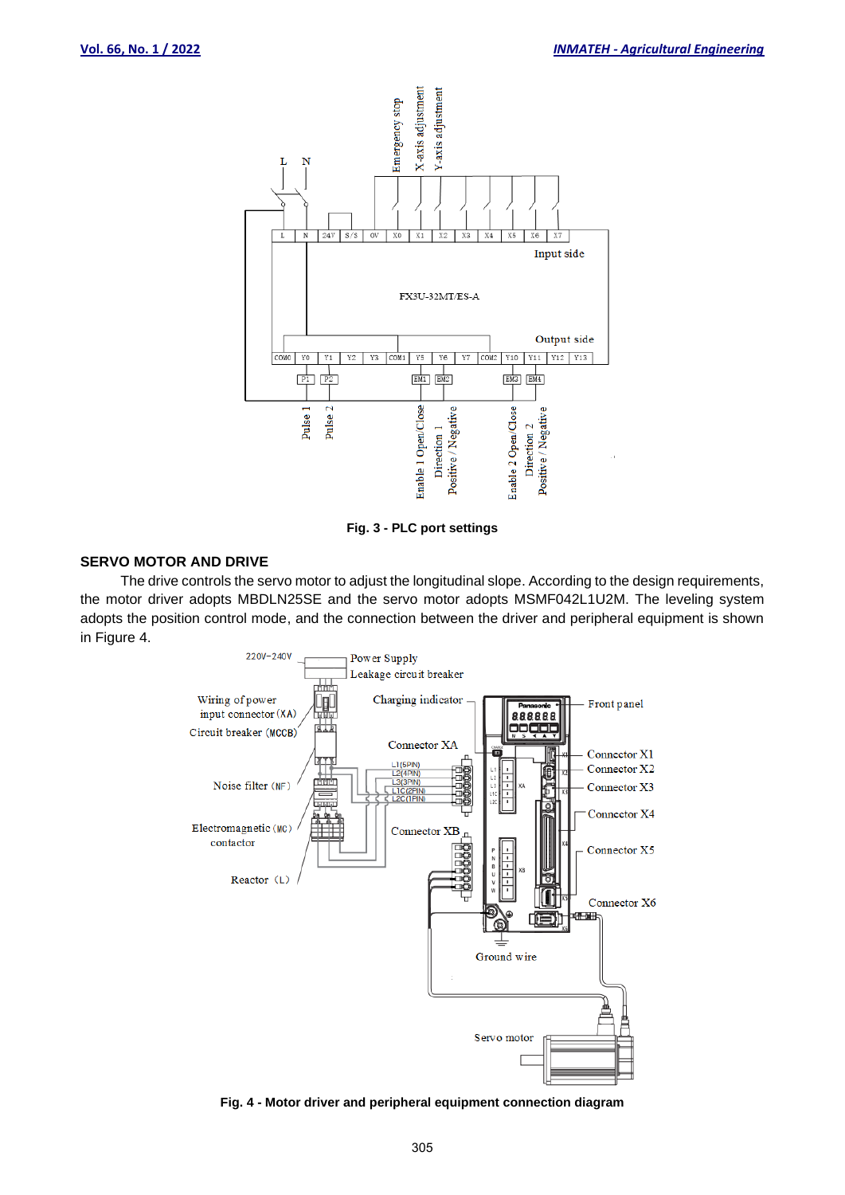



#### **SERVO MOTOR AND DRIVE**

The drive controls the servo motor to adjust the longitudinal slope. According to the design requirements, the motor driver adopts MBDLN25SE and the servo motor adopts MSMF042L1U2M. The leveling system adopts the position control mode, and the connection between the driver and peripheral equipment is shown in Figure 4.



**Fig. 4 - Motor driver and peripheral equipment connection diagram**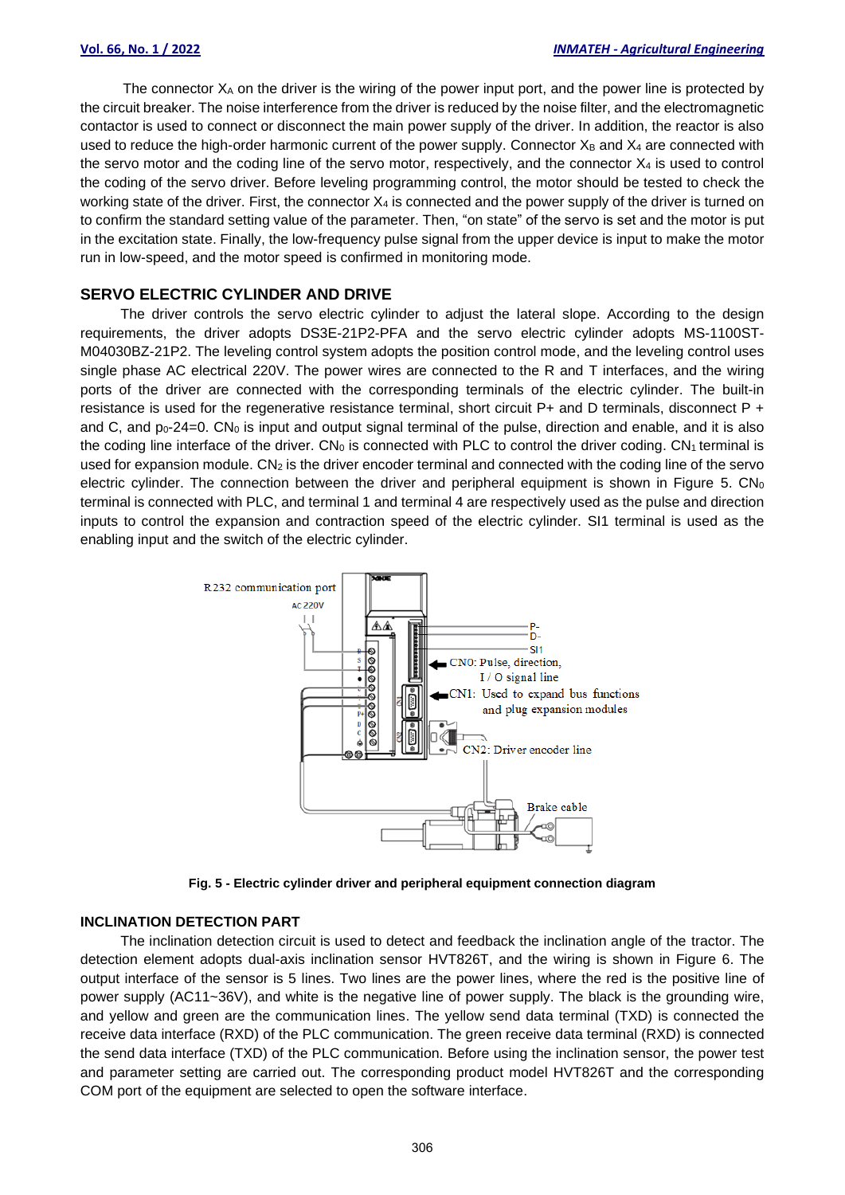The connector  $X_A$  on the driver is the wiring of the power input port, and the power line is protected by the circuit breaker. The noise interference from the driver is reduced by the noise filter, and the electromagnetic contactor is used to connect or disconnect the main power supply of the driver. In addition, the reactor is also used to reduce the high-order harmonic current of the power supply. Connector  $X_B$  and  $X_4$  are connected with the servo motor and the coding line of the servo motor, respectively, and the connector  $X_4$  is used to control the coding of the servo driver. Before leveling programming control, the motor should be tested to check the working state of the driver. First, the connector  $X_4$  is connected and the power supply of the driver is turned on to confirm the standard setting value of the parameter. Then, "on state" of the servo is set and the motor is put in the excitation state. Finally, the low-frequency pulse signal from the upper device is input to make the motor run in low-speed, and the motor speed is confirmed in monitoring mode.

#### **SERVO ELECTRIC CYLINDER AND DRIVE**

The driver controls the servo electric cylinder to adjust the lateral slope. According to the design requirements, the driver adopts DS3E-21P2-PFA and the servo electric cylinder adopts MS-1100ST-M04030BZ-21P2. The leveling control system adopts the position control mode, and the leveling control uses single phase AC electrical 220V. The power wires are connected to the R and T interfaces, and the wiring ports of the driver are connected with the corresponding terminals of the electric cylinder. The built-in resistance is used for the regenerative resistance terminal, short circuit P+ and D terminals, disconnect P + and C, and  $p_0-24=0$ . CN<sub>0</sub> is input and output signal terminal of the pulse, direction and enable, and it is also the coding line interface of the driver.  $CN_0$  is connected with PLC to control the driver coding.  $CN_1$  terminal is used for expansion module.  $CN<sub>2</sub>$  is the driver encoder terminal and connected with the coding line of the servo electric cylinder. The connection between the driver and peripheral equipment is shown in Figure 5. CN<sub>0</sub> terminal is connected with PLC, and terminal 1 and terminal 4 are respectively used as the pulse and direction inputs to control the expansion and contraction speed of the electric cylinder. SI1 terminal is used as the enabling input and the switch of the electric cylinder.



**Fig. 5 - Electric cylinder driver and peripheral equipment connection diagram**

#### **INCLINATION DETECTION PART**

The inclination detection circuit is used to detect and feedback the inclination angle of the tractor. The detection element adopts dual-axis inclination sensor HVT826T, and the wiring is shown in Figure 6. The output interface of the sensor is 5 lines. Two lines are the power lines, where the red is the positive line of power supply (AC11~36V), and white is the negative line of power supply. The black is the grounding wire, and yellow and green are the communication lines. The yellow send data terminal (TXD) is connected the receive data interface (RXD) of the PLC communication. The green receive data terminal (RXD) is connected the send data interface (TXD) of the PLC communication. Before using the inclination sensor, the power test and parameter setting are carried out. The corresponding product model HVT826T and the corresponding COM port of the equipment are selected to open the software interface.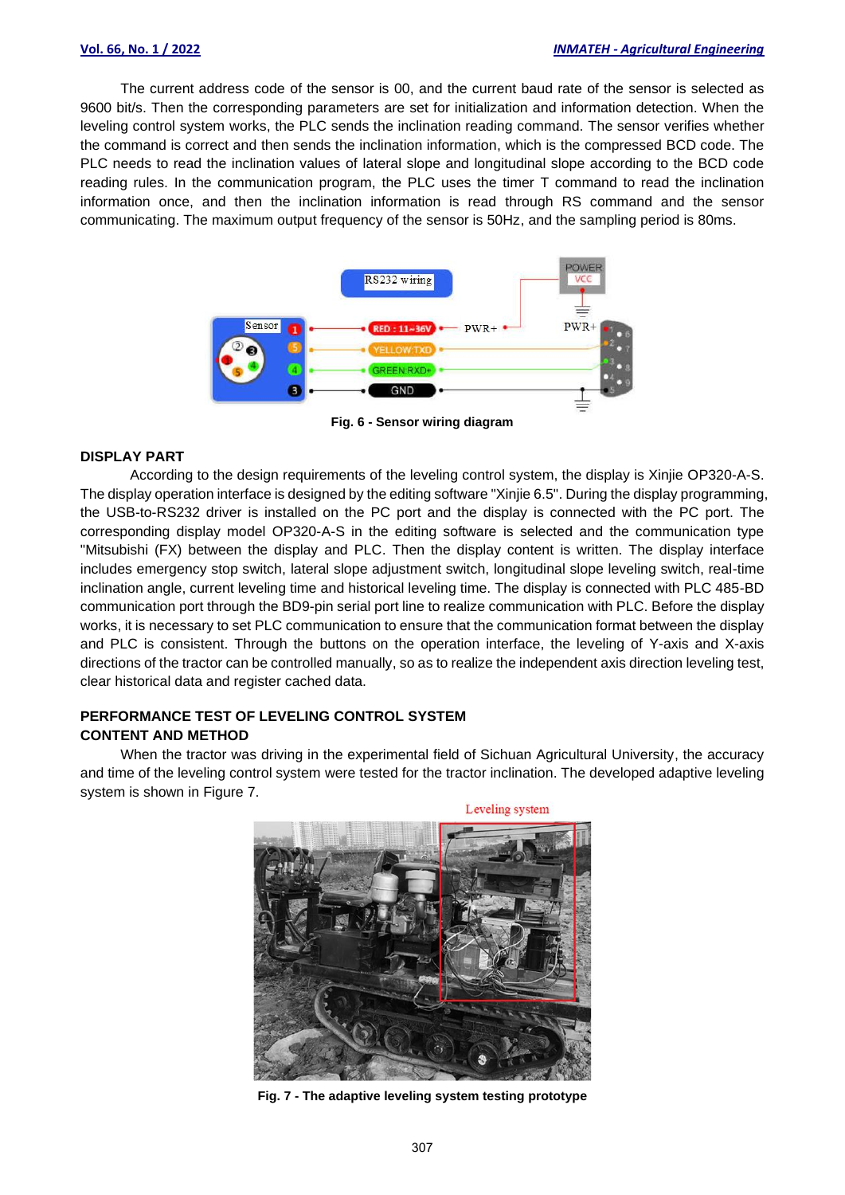The current address code of the sensor is 00, and the current baud rate of the sensor is selected as 9600 bit/s. Then the corresponding parameters are set for initialization and information detection. When the leveling control system works, the PLC sends the inclination reading command. The sensor verifies whether the command is correct and then sends the inclination information, which is the compressed BCD code. The PLC needs to read the inclination values of lateral slope and longitudinal slope according to the BCD code reading rules. In the communication program, the PLC uses the timer T command to read the inclination information once, and then the inclination information is read through RS command and the sensor communicating. The maximum output frequency of the sensor is 50Hz, and the sampling period is 80ms.



**Fig. 6 - Sensor wiring diagram** 

#### **DISPLAY PART**

According to the design requirements of the leveling control system, the display is Xinjie OP320-A-S. The display operation interface is designed by the editing software "Xinjie 6.5". During the display programming, the USB-to-RS232 driver is installed on the PC port and the display is connected with the PC port. The corresponding display model OP320-A-S in the editing software is selected and the communication type "Mitsubishi (FX) between the display and PLC. Then the display content is written. The display interface includes emergency stop switch, lateral slope adjustment switch, longitudinal slope leveling switch, real-time inclination angle, current leveling time and historical leveling time. The display is connected with PLC 485-BD communication port through the BD9-pin serial port line to realize communication with PLC. Before the display works, it is necessary to set PLC communication to ensure that the communication format between the display and PLC is consistent. Through the buttons on the operation interface, the leveling of Y-axis and X-axis directions of the tractor can be controlled manually, so as to realize the independent axis direction leveling test, clear historical data and register cached data.

#### **PERFORMANCE TEST OF LEVELING CONTROL SYSTEM CONTENT AND METHOD**

When the tractor was driving in the experimental field of Sichuan Agricultural University, the accuracy and time of the leveling control system were tested for the tractor inclination. The developed adaptive leveling system is shown in Figure 7.

![](_page_6_Picture_9.jpeg)

Leveling system

**Fig. 7 - The adaptive leveling system testing prototype**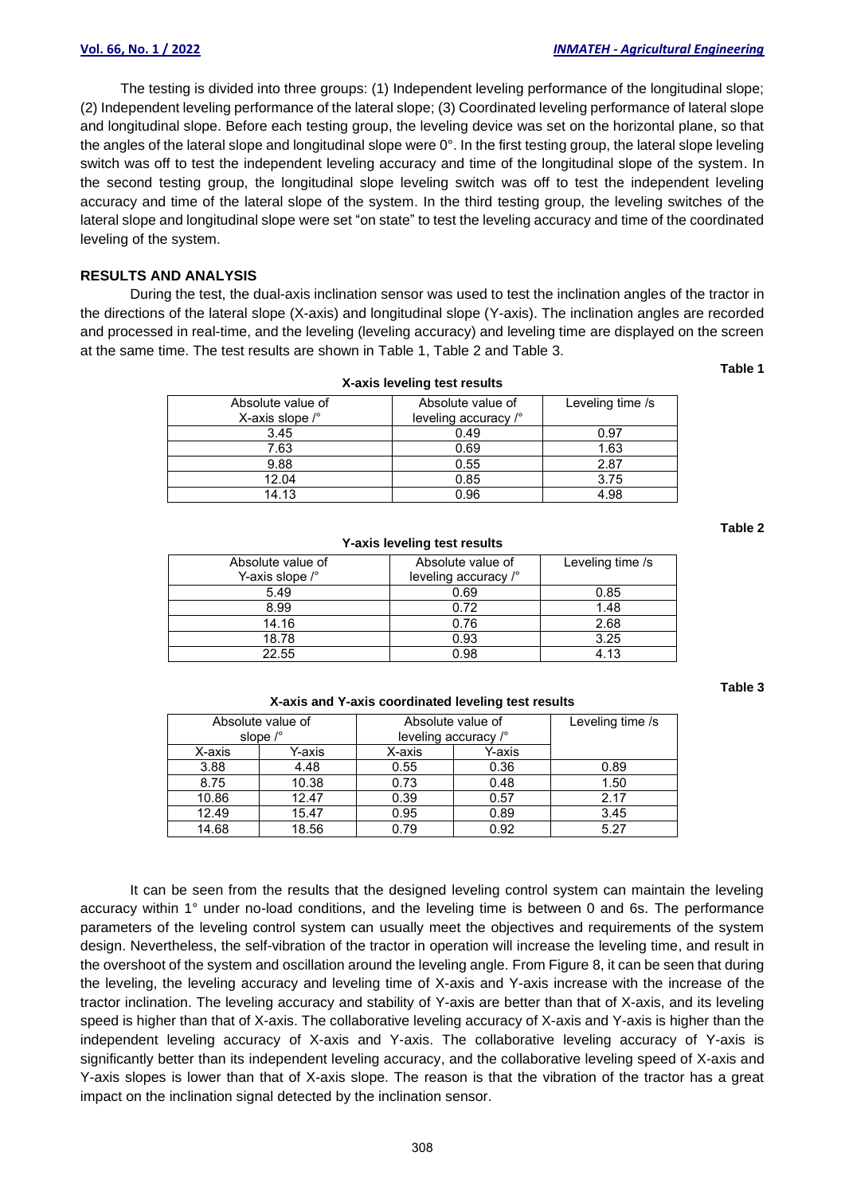The testing is divided into three groups: (1) Independent leveling performance of the longitudinal slope; (2) Independent leveling performance of the lateral slope; (3) Coordinated leveling performance of lateral slope and longitudinal slope. Before each testing group, the leveling device was set on the horizontal plane, so that the angles of the lateral slope and longitudinal slope were 0°. In the first testing group, the lateral slope leveling switch was off to test the independent leveling accuracy and time of the longitudinal slope of the system. In the second testing group, the longitudinal slope leveling switch was off to test the independent leveling accuracy and time of the lateral slope of the system. In the third testing group, the leveling switches of the lateral slope and longitudinal slope were set "on state" to test the leveling accuracy and time of the coordinated leveling of the system.

## **RESULTS AND ANALYSIS**

During the test, the dual-axis inclination sensor was used to test the inclination angles of the tractor in the directions of the lateral slope (X-axis) and longitudinal slope (Y-axis). The inclination angles are recorded and processed in real-time, and the leveling (leveling accuracy) and leveling time are displayed on the screen at the same time. The test results are shown in Table 1, Table 2 and Table 3.

**Table 1**

**Table 2**

| X-axis leveling test results                          |                                           |                  |  |  |  |  |  |
|-------------------------------------------------------|-------------------------------------------|------------------|--|--|--|--|--|
| Absolute value of<br>X-axis slope $\int_{0}^{\infty}$ | Absolute value of<br>leveling accuracy /° | Leveling time /s |  |  |  |  |  |
| 3.45                                                  | 0.49                                      | 0.97             |  |  |  |  |  |
| 7.63                                                  | 0.69                                      | 1.63             |  |  |  |  |  |
| 9.88                                                  | 0.55                                      | 2.87             |  |  |  |  |  |
| 12.04                                                 | 0.85                                      | 3.75             |  |  |  |  |  |
| 14.13                                                 | 0.96                                      | 4.98             |  |  |  |  |  |

| Absolute value of<br>Y-axis slope /° | Absolute value of<br>leveling accuracy /° | Leveling time /s |
|--------------------------------------|-------------------------------------------|------------------|
| 5.49                                 | 0.69                                      | 0.85             |
| 8.99                                 | 0.72                                      | 1.48             |
| 14.16                                | 0.76                                      | 2.68             |
| 18.78                                | 0.93                                      | 3.25             |
| 22.55                                | 0.98                                      | 4 1 R            |

**Y-axis leveling test results**

#### **Table 3**

#### **X-axis and Y-axis coordinated leveling test results**

|                   |        | Absolute value of    | Absolute value of |        | Leveling time /s |
|-------------------|--------|----------------------|-------------------|--------|------------------|
| slope $\sqrt{\ }$ |        | leveling accuracy /° |                   |        |                  |
|                   | X-axis | Y-axis               | X-axis            | Y-axis |                  |
|                   | 3.88   | 4.48                 | 0.55              | 0.36   | 0.89             |
|                   | 8.75   | 10.38                | 0.73              | 0.48   | 1.50             |
|                   | 10.86  | 12.47                | 0.39              | 0.57   | 2.17             |
|                   | 12.49  | 15.47                | 0.95              | 0.89   | 3.45             |
|                   | 14.68  | 18.56                | 0.79              | 0.92   | 5.27             |

It can be seen from the results that the designed leveling control system can maintain the leveling accuracy within 1° under no-load conditions, and the leveling time is between 0 and 6s. The performance parameters of the leveling control system can usually meet the objectives and requirements of the system design. Nevertheless, the self-vibration of the tractor in operation will increase the leveling time, and result in the overshoot of the system and oscillation around the leveling angle. From Figure 8, it can be seen that during the leveling, the leveling accuracy and leveling time of X-axis and Y-axis increase with the increase of the tractor inclination. The leveling accuracy and stability of Y-axis are better than that of X-axis, and its leveling speed is higher than that of X-axis. The collaborative leveling accuracy of X-axis and Y-axis is higher than the independent leveling accuracy of X-axis and Y-axis. The collaborative leveling accuracy of Y-axis is significantly better than its independent leveling accuracy, and the collaborative leveling speed of X-axis and Y-axis slopes is lower than that of X-axis slope. The reason is that the vibration of the tractor has a great impact on the inclination signal detected by the inclination sensor.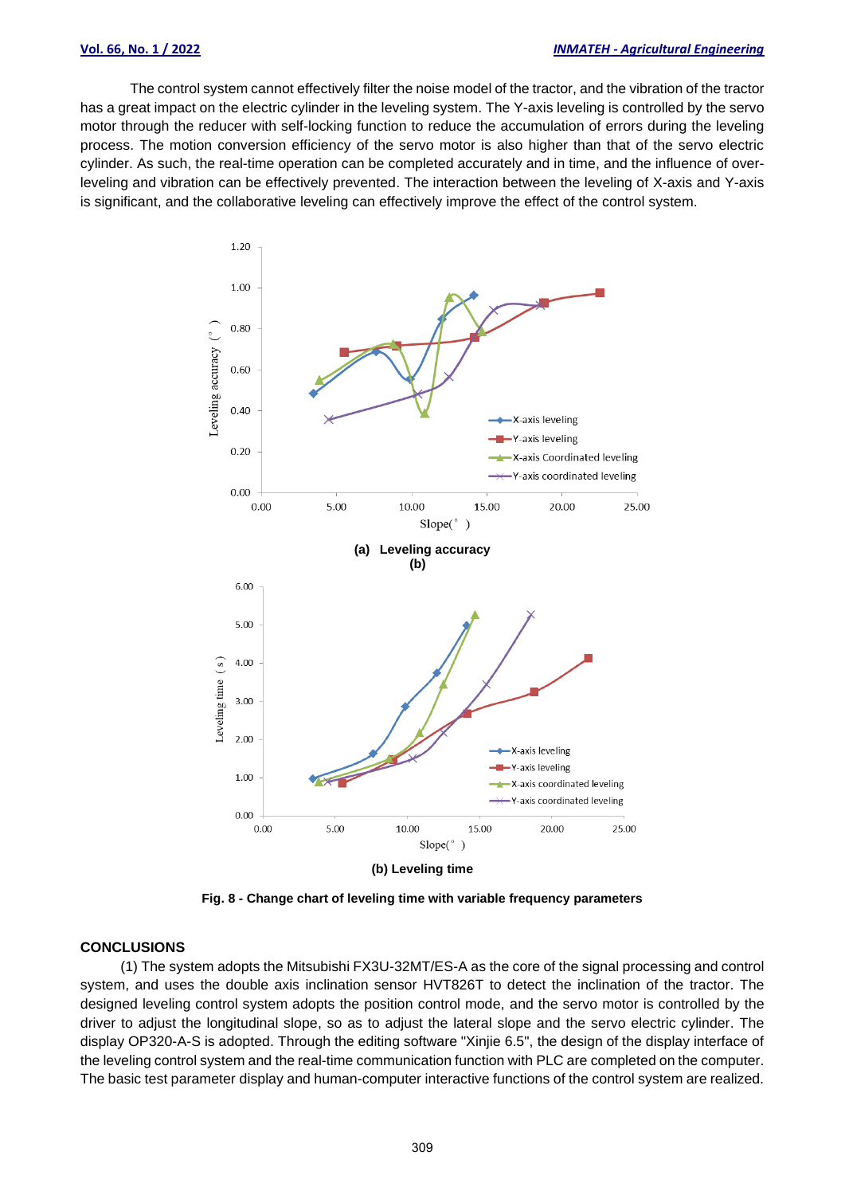The control system cannot effectively filter the noise model of the tractor, and the vibration of the tractor has a great impact on the electric cylinder in the leveling system. The Y-axis leveling is controlled by the servo motor through the reducer with self-locking function to reduce the accumulation of errors during the leveling process. The motion conversion efficiency of the servo motor is also higher than that of the servo electric cylinder. As such, the real-time operation can be completed accurately and in time, and the influence of overleveling and vibration can be effectively prevented. The interaction between the leveling of X-axis and Y-axis is significant, and the collaborative leveling can effectively improve the effect of the control system.

![](_page_8_Figure_3.jpeg)

**(b) Leveling time**

**Fig. 8 - Change chart of leveling time with variable frequency parameters**

#### **CONCLUSIONS**

(1) The system adopts the Mitsubishi FX3U-32MT/ES-A as the core of the signal processing and control system, and uses the double axis inclination sensor HVT826T to detect the inclination of the tractor. The designed leveling control system adopts the position control mode, and the servo motor is controlled by the driver to adjust the longitudinal slope, so as to adjust the lateral slope and the servo electric cylinder. The display OP320-A-S is adopted. Through the editing software "Xinjie 6.5", the design of the display interface of the leveling control system and the real-time communication function with PLC are completed on the computer. The basic test parameter display and human-computer interactive functions of the control system are realized.